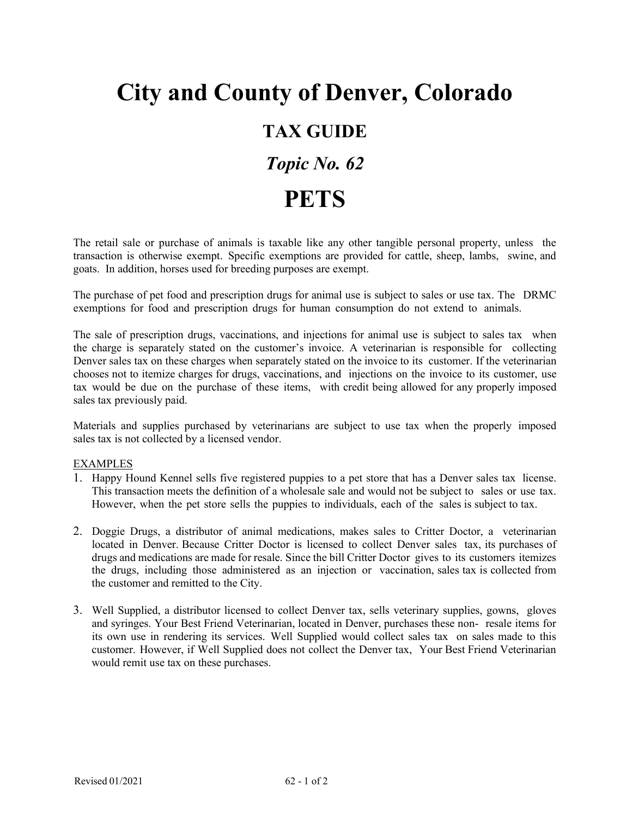## **City and County of Denver, Colorado TAX GUIDE** *Topic No. 62* **PETS**

The retail sale or purchase of animals is taxable like any other tangible personal property, unless the transaction is otherwise exempt. Specific exemptions are provided for cattle, sheep, lambs, swine, and goats. In addition, horses used for breeding purposes are exempt.

The purchase of pet food and prescription drugs for animal use is subject to sales or use tax. The DRMC exemptions for food and prescription drugs for human consumption do not extend to animals.

The sale of prescription drugs, vaccinations, and injections for animal use is subject to sales tax when the charge is separately stated on the customer's invoice. A veterinarian is responsible for collecting Denver sales tax on these charges when separately stated on the invoice to its customer. If the veterinarian chooses not to itemize charges for drugs, vaccinations, and injections on the invoice to its customer, use tax would be due on the purchase of these items, with credit being allowed for any properly imposed sales tax previously paid.

Materials and supplies purchased by veterinarians are subject to use tax when the properly imposed sales tax is not collected by a licensed vendor.

## EXAMPLES

- 1. Happy Hound Kennel sells five registered puppies to a pet store that has a Denver sales tax license. This transaction meets the definition of a wholesale sale and would not be subject to sales or use tax. However, when the pet store sells the puppies to individuals, each of the sales is subject to tax.
- 2. Doggie Drugs, a distributor of animal medications, makes sales to Critter Doctor, a veterinarian located in Denver. Because Critter Doctor is licensed to collect Denver sales tax, its purchases of drugs and medications are made for resale. Since the bill Critter Doctor gives to its customers itemizes the drugs, including those administered as an injection or vaccination, sales tax is collected from the customer and remitted to the City.
- 3. Well Supplied, a distributor licensed to collect Denver tax, sells veterinary supplies, gowns, gloves and syringes. Your Best Friend Veterinarian, located in Denver, purchases these non- resale items for its own use in rendering its services. Well Supplied would collect sales tax on sales made to this customer. However, if Well Supplied does not collect the Denver tax, Your Best Friend Veterinarian would remit use tax on these purchases.